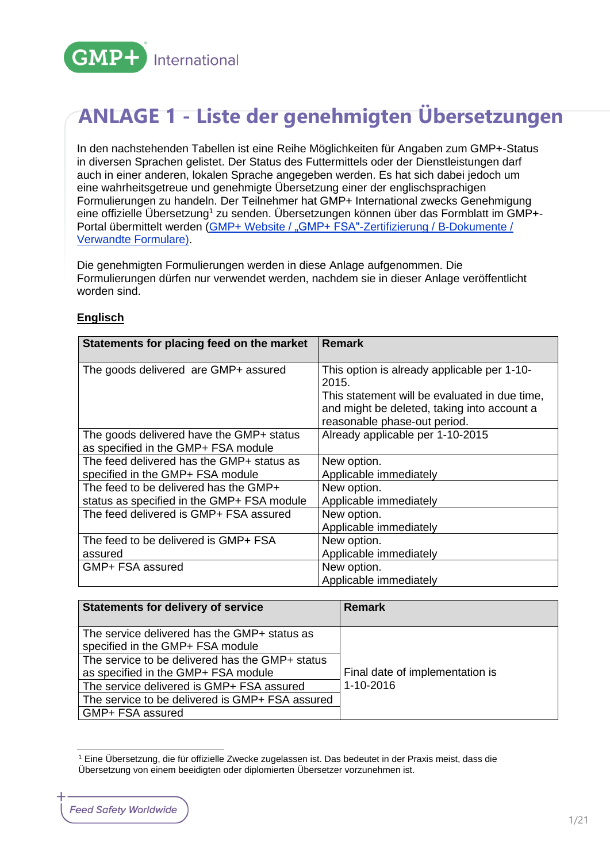

# **ANLAGE 1 - Liste der genehmigten Übersetzungen**

In den nachstehenden Tabellen ist eine Reihe Möglichkeiten für Angaben zum GMP+-Status in diversen Sprachen gelistet. Der Status des Futtermittels oder der Dienstleistungen darf auch in einer anderen, lokalen Sprache angegeben werden. Es hat sich dabei jedoch um eine wahrheitsgetreue und genehmigte Übersetzung einer der englischsprachigen Formulierungen zu handeln. Der Teilnehmer hat GMP+ International zwecks Genehmigung eine offizielle Übersetzung<sup>1</sup> zu senden. Übersetzungen können über das Formblatt im GMP+-Portal übermittelt werden (GMP+ Website [/ "GMP+ FSA"-Zertifizierung](https://www.gmpplus.org/de/certification-scheme/gmpplus-fsa-certification/b-documents/) / B-Dokumente / [Verwandte Formulare\)](https://www.gmpplus.org/de/certification-scheme/gmpplus-fsa-certification/b-documents/).

Die genehmigten Formulierungen werden in diese Anlage aufgenommen. Die Formulierungen dürfen nur verwendet werden, nachdem sie in dieser Anlage veröffentlicht worden sind.

#### **Englisch**

| Statements for placing feed on the market                                       | <b>Remark</b>                                                               |
|---------------------------------------------------------------------------------|-----------------------------------------------------------------------------|
| The goods delivered are GMP+ assured                                            | This option is already applicable per 1-10-<br>2015.                        |
|                                                                                 | This statement will be evaluated in due time,                               |
|                                                                                 | and might be deleted, taking into account a<br>reasonable phase-out period. |
| The goods delivered have the GMP+ status<br>as specified in the GMP+ FSA module | Already applicable per 1-10-2015                                            |
| The feed delivered has the GMP+ status as                                       | New option.                                                                 |
| specified in the GMP+ FSA module                                                | Applicable immediately                                                      |
| The feed to be delivered has the GMP+                                           | New option.                                                                 |
| status as specified in the GMP+ FSA module                                      | Applicable immediately                                                      |
| The feed delivered is GMP+ FSA assured                                          | New option.                                                                 |
|                                                                                 | Applicable immediately                                                      |
| The feed to be delivered is GMP+ FSA                                            | New option.                                                                 |
| assured                                                                         | Applicable immediately                                                      |
| GMP+ FSA assured                                                                | New option.                                                                 |
|                                                                                 | Applicable immediately                                                      |

| Statements for delivery of service                                                     | <b>Remark</b>                   |
|----------------------------------------------------------------------------------------|---------------------------------|
| l The service delivered has the GMP+ status as<br>specified in the GMP+ FSA module     |                                 |
| The service to be delivered has the GMP+ status<br>as specified in the GMP+ FSA module | Final date of implementation is |
| The service delivered is GMP+ FSA assured                                              | 1-10-2016                       |
| The service to be delivered is GMP+ FSA assured                                        |                                 |
| GMP+ FSA assured                                                                       |                                 |

<sup>1</sup> Eine Übersetzung, die für offizielle Zwecke zugelassen ist. Das bedeutet in der Praxis meist, dass die Übersetzung von einem beeidigten oder diplomierten Übersetzer vorzunehmen ist.

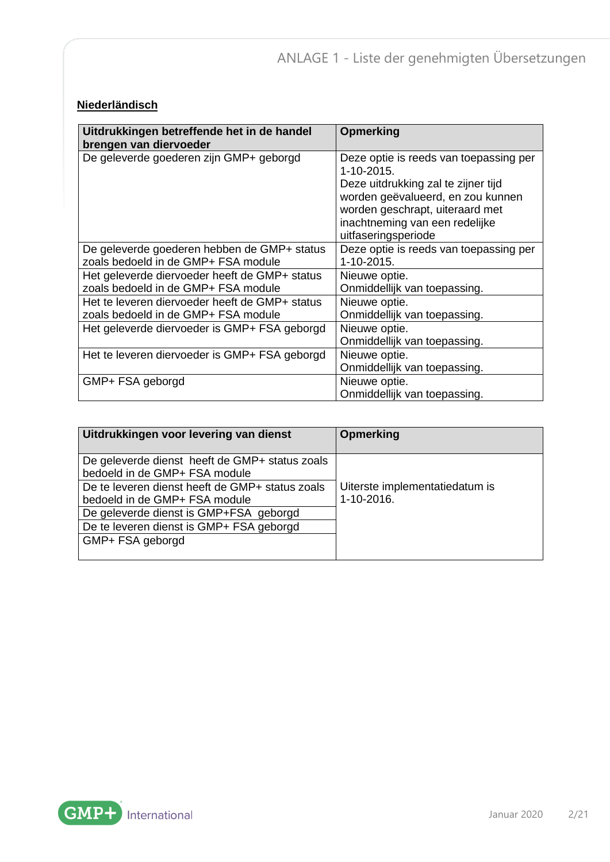## **Niederländisch**

| Uitdrukkingen betreffende het in de handel<br>brengen van diervoeder                  | <b>Opmerking</b>                                                                                                                                                                                                             |
|---------------------------------------------------------------------------------------|------------------------------------------------------------------------------------------------------------------------------------------------------------------------------------------------------------------------------|
| De geleverde goederen zijn GMP+ geborgd                                               | Deze optie is reeds van toepassing per<br>1-10-2015.<br>Deze uitdrukking zal te zijner tijd<br>worden geëvalueerd, en zou kunnen<br>worden geschrapt, uiteraard met<br>inachtneming van een redelijke<br>uitfaseringsperiode |
| De geleverde goederen hebben de GMP+ status<br>zoals bedoeld in de GMP+ FSA module    | Deze optie is reeds van toepassing per<br>1-10-2015.                                                                                                                                                                         |
| Het geleverde diervoeder heeft de GMP+ status<br>zoals bedoeld in de GMP+ FSA module  | Nieuwe optie.<br>Onmiddellijk van toepassing.                                                                                                                                                                                |
| Het te leveren diervoeder heeft de GMP+ status<br>zoals bedoeld in de GMP+ FSA module | Nieuwe optie.<br>Onmiddellijk van toepassing.                                                                                                                                                                                |
| Het geleverde diervoeder is GMP+ FSA geborgd                                          | Nieuwe optie.<br>Onmiddellijk van toepassing.                                                                                                                                                                                |
| Het te leveren diervoeder is GMP+ FSA geborgd                                         | Nieuwe optie.<br>Onmiddellijk van toepassing.                                                                                                                                                                                |
| GMP+ FSA geborgd                                                                      | Nieuwe optie.<br>Onmiddellijk van toepassing.                                                                                                                                                                                |

| Uitdrukkingen voor levering van dienst                                           | <b>Opmerking</b>                             |
|----------------------------------------------------------------------------------|----------------------------------------------|
| De geleverde dienst heeft de GMP+ status zoals<br>bedoeld in de GMP+ FSA module  |                                              |
| De te leveren dienst heeft de GMP+ status zoals<br>bedoeld in de GMP+ FSA module | Uiterste implementatiedatum is<br>1-10-2016. |
| De geleverde dienst is GMP+FSA geborgd                                           |                                              |
| De te leveren dienst is GMP+ FSA geborgd                                         |                                              |
| GMP+ FSA geborgd                                                                 |                                              |

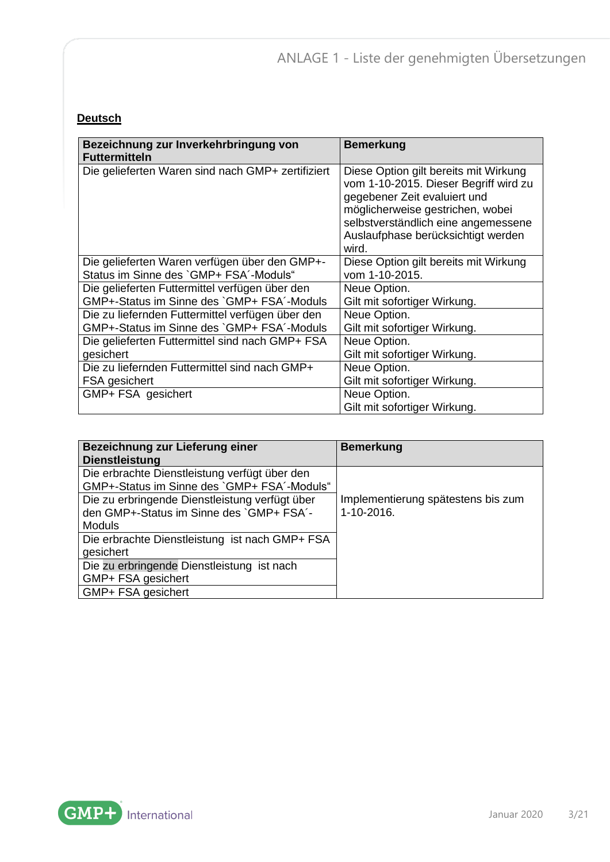#### **Deutsch**

| Bezeichnung zur Inverkehrbringung von<br><b>Futtermitteln</b> | <b>Bemerkung</b>                                                                                                                                                                                                                         |
|---------------------------------------------------------------|------------------------------------------------------------------------------------------------------------------------------------------------------------------------------------------------------------------------------------------|
| Die gelieferten Waren sind nach GMP+ zertifiziert             | Diese Option gilt bereits mit Wirkung<br>vom 1-10-2015. Dieser Begriff wird zu<br>gegebener Zeit evaluiert und<br>möglicherweise gestrichen, wobei<br>selbstverständlich eine angemessene<br>Auslaufphase berücksichtigt werden<br>wird. |
| Die gelieferten Waren verfügen über den GMP+-                 | Diese Option gilt bereits mit Wirkung                                                                                                                                                                                                    |
| Status im Sinne des `GMP+ FSA'-Moduls"                        | vom 1-10-2015.                                                                                                                                                                                                                           |
| Die gelieferten Futtermittel verfügen über den                | Neue Option.                                                                                                                                                                                                                             |
| GMP+-Status im Sinne des `GMP+ FSA'-Moduls                    | Gilt mit sofortiger Wirkung.                                                                                                                                                                                                             |
| Die zu liefernden Futtermittel verfügen über den              | Neue Option.                                                                                                                                                                                                                             |
| GMP+-Status im Sinne des `GMP+ FSA'-Moduls                    | Gilt mit sofortiger Wirkung.                                                                                                                                                                                                             |
| Die gelieferten Futtermittel sind nach GMP+ FSA               | Neue Option.                                                                                                                                                                                                                             |
| gesichert                                                     | Gilt mit sofortiger Wirkung.                                                                                                                                                                                                             |
| Die zu liefernden Futtermittel sind nach GMP+                 | Neue Option.                                                                                                                                                                                                                             |
| FSA gesichert                                                 | Gilt mit sofortiger Wirkung.                                                                                                                                                                                                             |
| GMP+ FSA gesichert                                            | Neue Option.<br>Gilt mit sofortiger Wirkung.                                                                                                                                                                                             |

| Bezeichnung zur Lieferung einer                | <b>Bemerkung</b>                   |
|------------------------------------------------|------------------------------------|
| <b>Dienstleistung</b>                          |                                    |
| Die erbrachte Dienstleistung verfügt über den  |                                    |
| GMP+-Status im Sinne des `GMP+ FSA'-Moduls"    |                                    |
| Die zu erbringende Dienstleistung verfügt über | Implementierung spätestens bis zum |
| den GMP+-Status im Sinne des `GMP+ FSA'-       | 1-10-2016.                         |
| <b>Moduls</b>                                  |                                    |
| Die erbrachte Dienstleistung ist nach GMP+ FSA |                                    |
| gesichert                                      |                                    |
| Die zu erbringende Dienstleistung ist nach     |                                    |
| GMP+ FSA gesichert                             |                                    |
| GMP+ FSA gesichert                             |                                    |

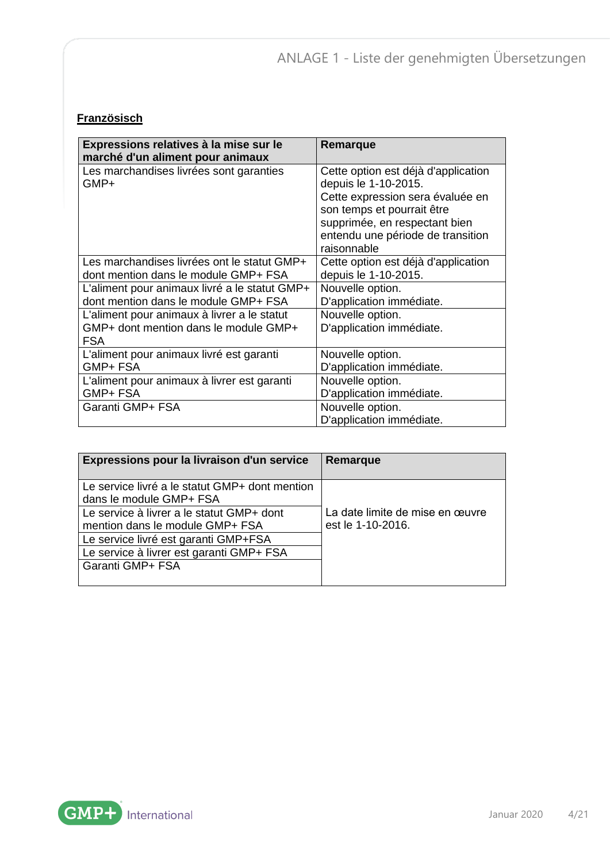# **Französisch**

| Expressions relatives à la mise sur le<br>marché d'un aliment pour animaux                         | Remarque                                                                                                                                                                                                           |
|----------------------------------------------------------------------------------------------------|--------------------------------------------------------------------------------------------------------------------------------------------------------------------------------------------------------------------|
| Les marchandises livrées sont garanties<br>GMP+                                                    | Cette option est déjà d'application<br>depuis le 1-10-2015.<br>Cette expression sera évaluée en<br>son temps et pourrait être<br>supprimée, en respectant bien<br>entendu une période de transition<br>raisonnable |
| Les marchandises livrées ont le statut GMP+                                                        | Cette option est déjà d'application                                                                                                                                                                                |
| dont mention dans le module GMP+ FSA                                                               | depuis le 1-10-2015.                                                                                                                                                                                               |
| L'aliment pour animaux livré a le statut GMP+                                                      | Nouvelle option.                                                                                                                                                                                                   |
| dont mention dans le module GMP+ FSA                                                               | D'application immédiate.                                                                                                                                                                                           |
| L'aliment pour animaux à livrer a le statut<br>GMP+ dont mention dans le module GMP+<br><b>FSA</b> | Nouvelle option.<br>D'application immédiate.                                                                                                                                                                       |
| L'aliment pour animaux livré est garanti                                                           | Nouvelle option.                                                                                                                                                                                                   |
| GMP+ FSA                                                                                           | D'application immédiate.                                                                                                                                                                                           |
| L'aliment pour animaux à livrer est garanti                                                        | Nouvelle option.                                                                                                                                                                                                   |
| GMP+ FSA                                                                                           | D'application immédiate.                                                                                                                                                                                           |
| Garanti GMP+ FSA                                                                                   | Nouvelle option.<br>D'application immédiate.                                                                                                                                                                       |

| Expressions pour la livraison d'un service                                | Remarque                        |
|---------------------------------------------------------------------------|---------------------------------|
| Le service livré a le statut GMP+ dont mention<br>dans le module GMP+ FSA |                                 |
| Le service à livrer a le statut GMP+ dont                                 | La date limite de mise en œuvre |
| mention dans le module GMP+ FSA                                           | est le 1-10-2016.               |
| Le service livré est garanti GMP+FSA                                      |                                 |
| Le service à livrer est garanti GMP+ FSA                                  |                                 |
| Garanti GMP+ FSA                                                          |                                 |
|                                                                           |                                 |

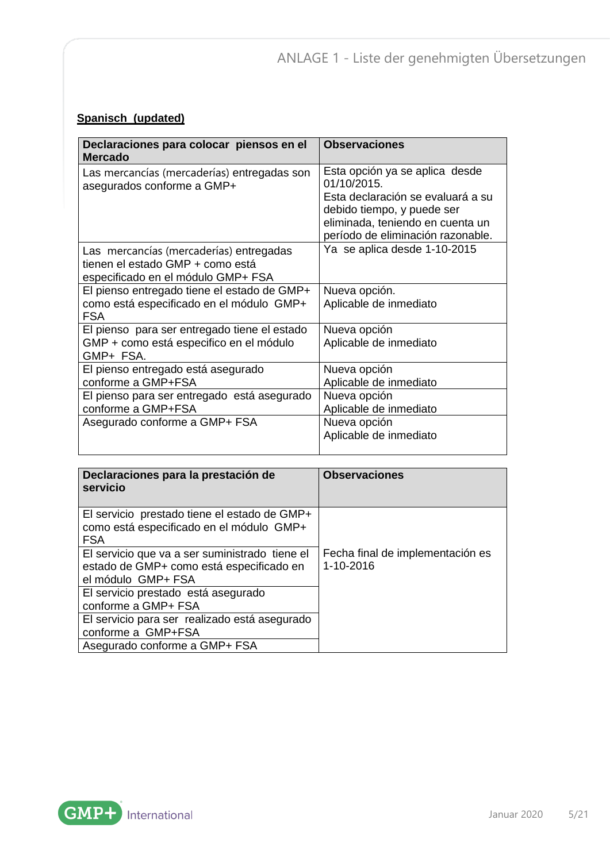#### **Spanisch (updated)**

| Declaraciones para colocar piensos en el<br><b>Mercado</b>                                                        | <b>Observaciones</b>                                                                                                                                                                      |
|-------------------------------------------------------------------------------------------------------------------|-------------------------------------------------------------------------------------------------------------------------------------------------------------------------------------------|
| Las mercancías (mercaderías) entregadas son<br>asegurados conforme a GMP+                                         | Esta opción ya se aplica desde<br>01/10/2015.<br>Esta declaración se evaluará a su<br>debido tiempo, y puede ser<br>eliminada, teniendo en cuenta un<br>período de eliminación razonable. |
| Las mercancías (mercaderías) entregadas<br>tienen el estado GMP + como está<br>especificado en el módulo GMP+ FSA | Ya se aplica desde 1-10-2015                                                                                                                                                              |
| El pienso entregado tiene el estado de GMP+<br>como está especificado en el módulo GMP+<br><b>FSA</b>             | Nueva opción.<br>Aplicable de inmediato                                                                                                                                                   |
| El pienso para ser entregado tiene el estado<br>GMP + como está especifico en el módulo<br>GMP+ FSA.              | Nueva opción<br>Aplicable de inmediato                                                                                                                                                    |
| El pienso entregado está asegurado<br>conforme a GMP+FSA                                                          | Nueva opción<br>Aplicable de inmediato                                                                                                                                                    |
| El pienso para ser entregado está asegurado<br>conforme a GMP+FSA                                                 | Nueva opción<br>Aplicable de inmediato                                                                                                                                                    |
| Asegurado conforme a GMP+ FSA                                                                                     | Nueva opción<br>Aplicable de inmediato                                                                                                                                                    |

| Declaraciones para la prestación de<br>servicio                                                                  | <b>Observaciones</b>                          |
|------------------------------------------------------------------------------------------------------------------|-----------------------------------------------|
| El servicio prestado tiene el estado de GMP+<br>como está especificado en el módulo GMP+<br><b>FSA</b>           |                                               |
| El servicio que va a ser suministrado tiene el<br>estado de GMP+ como está especificado en<br>el módulo GMP+ FSA | Fecha final de implementación es<br>1-10-2016 |
| El servicio prestado está asegurado<br>conforme a GMP+ FSA                                                       |                                               |
| El servicio para ser realizado está asegurado<br>conforme a GMP+FSA                                              |                                               |
| Asegurado conforme a GMP+ FSA                                                                                    |                                               |

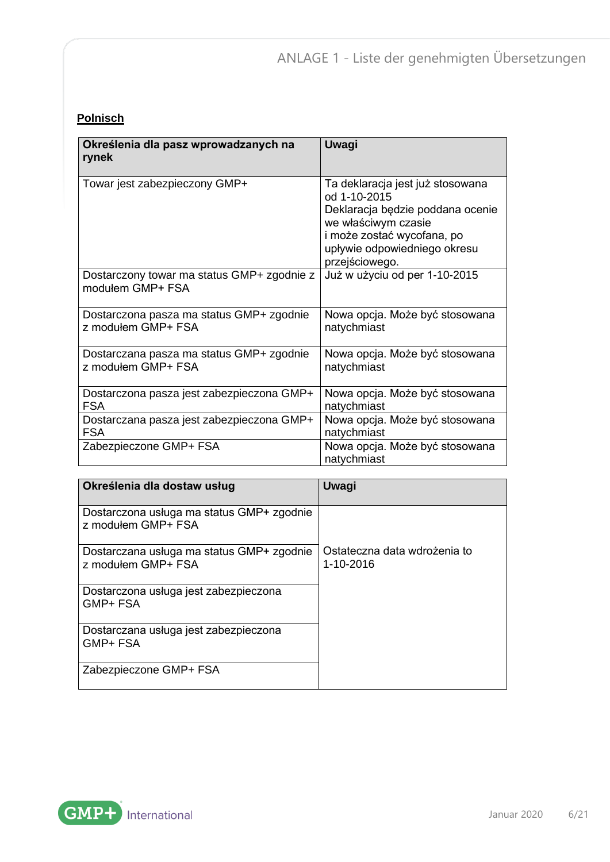#### **Polnisch**

| Określenia dla pasz wprowadzanych na<br>rynek                  | Uwagi                                                                                                                                                                                       |
|----------------------------------------------------------------|---------------------------------------------------------------------------------------------------------------------------------------------------------------------------------------------|
| Towar jest zabezpieczony GMP+                                  | Ta deklaracja jest już stosowana<br>od 1-10-2015<br>Deklaracja będzie poddana ocenie<br>we właściwym czasie<br>i może zostać wycofana, po<br>upływie odpowiedniego okresu<br>przejściowego. |
| Dostarczony towar ma status GMP+ zgodnie z<br>modułem GMP+ FSA | Już w użyciu od per 1-10-2015                                                                                                                                                               |
| Dostarczona pasza ma status GMP+ zgodnie<br>z modułem GMP+ FSA | Nowa opcja. Może być stosowana<br>natychmiast                                                                                                                                               |
| Dostarczana pasza ma status GMP+ zgodnie<br>z modułem GMP+ FSA | Nowa opcja. Może być stosowana<br>natychmiast                                                                                                                                               |
| Dostarczona pasza jest zabezpieczona GMP+<br><b>FSA</b>        | Nowa opcja. Może być stosowana<br>natychmiast                                                                                                                                               |
| Dostarczana pasza jest zabezpieczona GMP+<br><b>FSA</b>        | Nowa opcja. Może być stosowana<br>natychmiast                                                                                                                                               |
| Zabezpieczone GMP+ FSA                                         | Nowa opcja. Może być stosowana<br>natychmiast                                                                                                                                               |

| Określenia dla dostaw usług                                     | Uwagi                                     |
|-----------------------------------------------------------------|-------------------------------------------|
| Dostarczona usługa ma status GMP+ zgodnie<br>z modułem GMP+ FSA |                                           |
| Dostarczana usługa ma status GMP+ zgodnie<br>z modułem GMP+ FSA | Ostateczna data wdrożenia to<br>1-10-2016 |
| Dostarczona usługa jest zabezpieczona<br>GMP+ FSA               |                                           |
| Dostarczana usługa jest zabezpieczona<br>GMP+ FSA               |                                           |
| Zabezpieczone GMP+ FSA                                          |                                           |

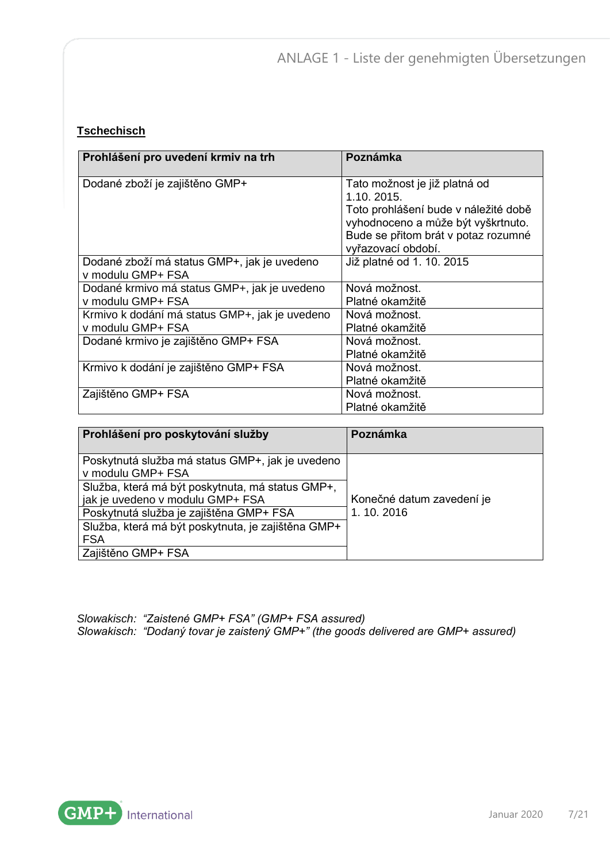#### **Tschechisch**

| Prohlášení pro uvedení krmiv na trh                                 | Poznámka                                                                                                                   |
|---------------------------------------------------------------------|----------------------------------------------------------------------------------------------------------------------------|
| Dodané zboží je zajištěno GMP+                                      | Tato možnost je již platná od<br>1.10. 2015.<br>Toto prohlášení bude v náležité době<br>vyhodnoceno a může být vyškrtnuto. |
|                                                                     | Bude se přitom brát v potaz rozumné<br>vyřazovací období.                                                                  |
| Dodané zboží má status GMP+, jak je uvedeno<br>v modulu GMP+ FSA    | Již platné od 1. 10. 2015                                                                                                  |
| Dodané krmivo má status GMP+, jak je uvedeno<br>v modulu GMP+ FSA   | Nová možnost.<br>Platné okamžitě                                                                                           |
| Krmivo k dodání má status GMP+, jak je uvedeno<br>v modulu GMP+ FSA | Nová možnost.<br>Platné okamžitě                                                                                           |
| Dodané krmivo je zajištěno GMP+ FSA                                 | Nová možnost.<br>Platné okamžitě                                                                                           |
| Krmivo k dodání je zajištěno GMP+ FSA                               | Nová možnost.<br>Platné okamžitě                                                                                           |
| Zajištěno GMP+ FSA                                                  | Nová možnost.<br>Platné okamžitě                                                                                           |

| Prohlášení pro poskytování služby                                     | Poznámka                  |
|-----------------------------------------------------------------------|---------------------------|
| Poskytnutá služba má status GMP+, jak je uvedeno<br>v modulu GMP+ FSA |                           |
| Služba, která má být poskytnuta, má status GMP+,                      |                           |
| jak je uvedeno v modulu GMP+ FSA                                      | Konečné datum zavedení je |
| Poskytnutá služba je zajištěna GMP+ FSA                               | 1.10.2016                 |
| Služba, která má být poskytnuta, je zajištěna GMP+                    |                           |
| <b>FSA</b>                                                            |                           |
| Zajištěno GMP+ FSA                                                    |                           |

*Slowakisch: "Zaistené GMP+ FSA" (GMP+ FSA assured) Slowakisch: "Dodaný tovar je zaistený GMP+" (the goods delivered are GMP+ assured)*

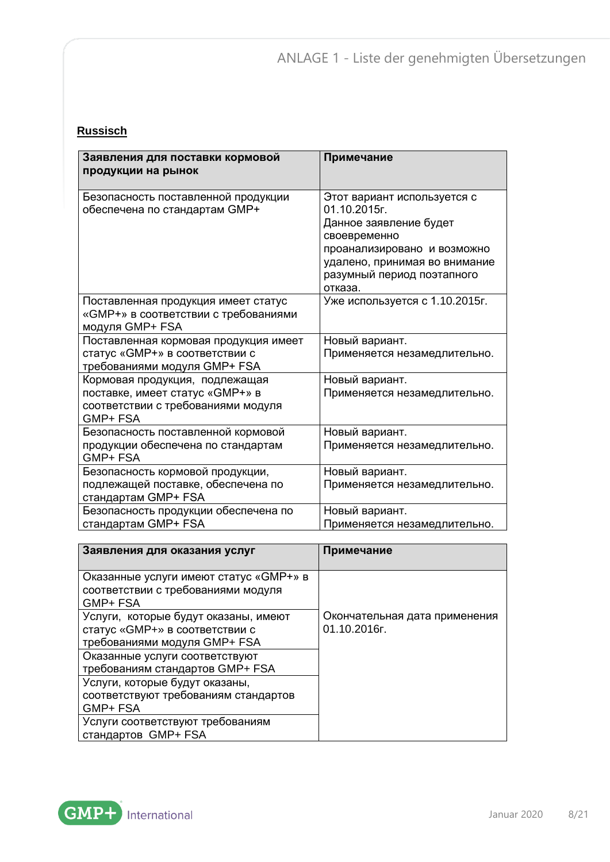## **Russisch**

| Заявления для поставки кормовой<br>продукции на рынок                                                               | Примечание                                                                                                                                                                                     |
|---------------------------------------------------------------------------------------------------------------------|------------------------------------------------------------------------------------------------------------------------------------------------------------------------------------------------|
| Безопасность поставленной продукции<br>обеспечена по стандартам GMP+                                                | Этот вариант используется с<br>01.10.2015r.<br>Данное заявление будет<br>своевременно<br>проанализировано и возможно<br>удалено, принимая во внимание<br>разумный период поэтапного<br>отказа. |
| Поставленная продукция имеет статус<br>«GMP+» в соответствии с требованиями<br>модуля GMP+ FSA                      | Уже используется с 1.10.2015г.                                                                                                                                                                 |
| Поставленная кормовая продукция имеет<br>статус «GMP+» в соответствии с<br>требованиями модуля GMP+ FSA             | Новый вариант.<br>Применяется незамедлительно.                                                                                                                                                 |
| Кормовая продукция, подлежащая<br>поставке, имеет статус «GMP+» в<br>соответствии с требованиями модуля<br>GMP+ FSA | Новый вариант.<br>Применяется незамедлительно.                                                                                                                                                 |
| Безопасность поставленной кормовой<br>продукции обеспечена по стандартам<br>GMP+ FSA                                | Новый вариант.<br>Применяется незамедлительно.                                                                                                                                                 |
| Безопасность кормовой продукции,<br>подлежащей поставке, обеспечена по<br>стандартам GMP+ FSA                       | Новый вариант.<br>Применяется незамедлительно.                                                                                                                                                 |
| Безопасность продукции обеспечена по<br>стандартам GMP+ FSA                                                         | Новый вариант.<br>Применяется незамедлительно.                                                                                                                                                 |

| Заявления для оказания услуг                                                                           | Примечание                                    |
|--------------------------------------------------------------------------------------------------------|-----------------------------------------------|
| Оказанные услуги имеют статус «GMP+» в<br>соответствии с требованиями модуля<br>GMP+ FSA               |                                               |
| Услуги, которые будут оказаны, имеют<br>статус «GMP+» в соответствии с<br>требованиями модуля GMP+ FSA | Окончательная дата применения<br>01.10.2016г. |
| Оказанные услуги соответствуют<br>требованиям стандартов GMP+ FSA                                      |                                               |
| Услуги, которые будут оказаны,<br>соответствуют требованиям стандартов<br>GMP+ FSA                     |                                               |
| Услуги соответствуют требованиям<br>стандартов GMP+ FSA                                                |                                               |

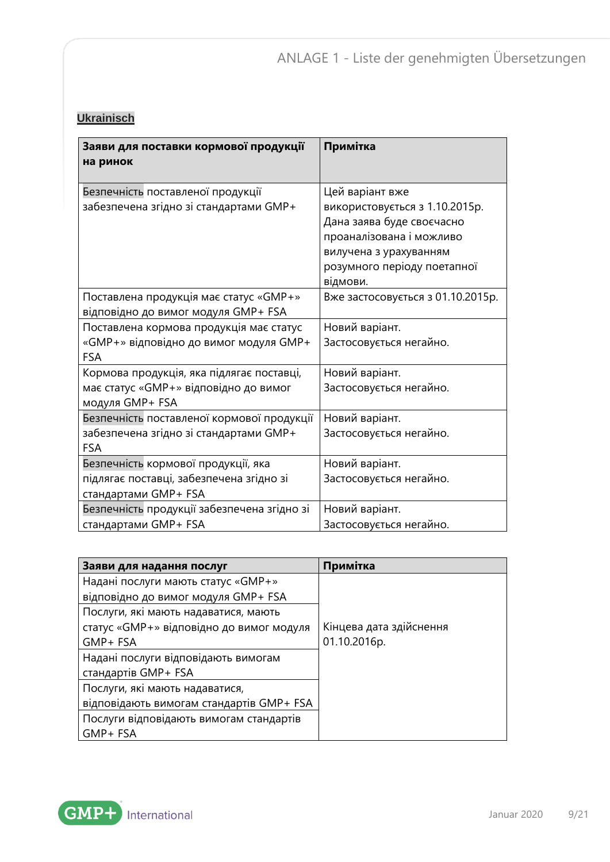#### **Ukrainisch**

| Заяви для поставки кормової продукції<br>на ринок                                                       | Примітка                                                                                                                                                                        |
|---------------------------------------------------------------------------------------------------------|---------------------------------------------------------------------------------------------------------------------------------------------------------------------------------|
| Безпечність поставленої продукції<br>забезпечена згідно зі стандартами GMP+                             | Цей варіант вже<br>використовується з 1.10.2015р.<br>Дана заява буде своєчасно<br>проаналізована і можливо<br>вилучена з урахуванням<br>розумного періоду поетапної<br>відмови. |
| Поставлена продукція має статус «GMP+»<br>відповідно до вимог модуля GMP+ FSA                           | Вже застосовується з 01.10.2015р.                                                                                                                                               |
| Поставлена кормова продукція має статус<br>«GMP+» відповідно до вимог модуля GMP+<br><b>FSA</b>         | Новий варіант.<br>Застосовується негайно.                                                                                                                                       |
| Кормова продукція, яка підлягає поставці,<br>має статус «GMP+» відповідно до вимог<br>модуля GMP+ FSA   | Новий варіант.<br>Застосовується негайно.                                                                                                                                       |
| Безпечність поставленої кормової продукції<br>забезпечена згідно зі стандартами GMP+<br><b>FSA</b>      | Новий варіант.<br>Застосовується негайно.                                                                                                                                       |
| Безпечність кормової продукції, яка<br>підлягає поставці, забезпечена згідно зі<br>стандартами GMP+ FSA | Новий варіант.<br>Застосовується негайно.                                                                                                                                       |
| Безпечність продукції забезпечена згідно зі<br>стандартами GMP+ FSA                                     | Новий варіант.<br>Застосовується негайно.                                                                                                                                       |

| Заяви для надання послуг                 | Примітка                |
|------------------------------------------|-------------------------|
| Надані послуги мають статус «GMP+»       |                         |
| відповідно до вимог модуля GMP+ FSA      |                         |
| Послуги, які мають надаватися, мають     |                         |
| статус «GMP+» відповідно до вимог модуля | Кінцева дата здійснення |
| GMP+ FSA                                 | 01.10.2016p.            |
| Надані послуги відповідають вимогам      |                         |
| стандартів GMP+ FSA                      |                         |
| Послуги, які мають надаватися,           |                         |
| відповідають вимогам стандартів GMP+ FSA |                         |
| Послуги відповідають вимогам стандартів  |                         |
| GMP+ FSA                                 |                         |

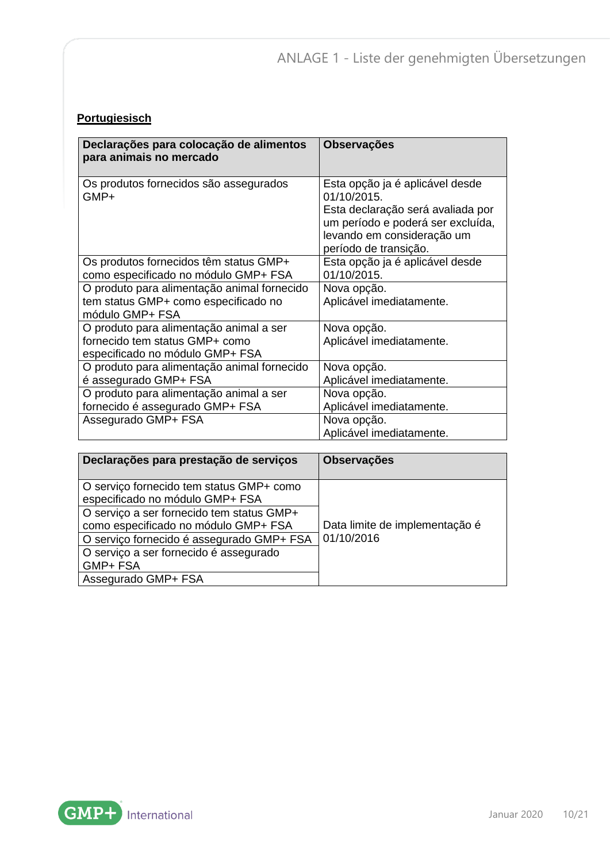#### **Portugiesisch**

| Declarações para colocação de alimentos<br>para animais no mercado                                           | <b>Observações</b>                                                                                                                                                              |
|--------------------------------------------------------------------------------------------------------------|---------------------------------------------------------------------------------------------------------------------------------------------------------------------------------|
| Os produtos fornecidos são assegurados<br>GMP+                                                               | Esta opção ja é aplicável desde<br>01/10/2015.<br>Esta declaração será avaliada por<br>um período e poderá ser excluída,<br>levando em consideração um<br>período de transição. |
| Os produtos fornecidos têm status GMP+<br>como especificado no módulo GMP+ FSA                               | Esta opção ja é aplicável desde<br>01/10/2015.                                                                                                                                  |
| O produto para alimentação animal fornecido<br>tem status GMP+ como especificado no<br>módulo GMP+ FSA       | Nova opção.<br>Aplicável imediatamente.                                                                                                                                         |
| O produto para alimentação animal a ser<br>fornecido tem status GMP+ como<br>especificado no módulo GMP+ FSA | Nova opção.<br>Aplicável imediatamente.                                                                                                                                         |
| O produto para alimentação animal fornecido<br>é assegurado GMP+ FSA                                         | Nova opção.<br>Aplicável imediatamente.                                                                                                                                         |
| O produto para alimentação animal a ser<br>fornecido é assegurado GMP+ FSA                                   | Nova opção.<br>Aplicável imediatamente.                                                                                                                                         |
| Assegurado GMP+ FSA                                                                                          | Nova opção.<br>Aplicável imediatamente.                                                                                                                                         |

| Declarações para prestação de serviços                                            | <b>Observações</b>             |
|-----------------------------------------------------------------------------------|--------------------------------|
| O serviço fornecido tem status GMP+ como<br>especificado no módulo GMP+ FSA       |                                |
| O serviço a ser fornecido tem status GMP+<br>como especificado no módulo GMP+ FSA | Data limite de implementação é |
| O serviço fornecido é assegurado GMP+ FSA                                         | 01/10/2016                     |
| O serviço a ser fornecido é assegurado                                            |                                |
| GMP+ FSA                                                                          |                                |
| Assegurado GMP+ FSA                                                               |                                |

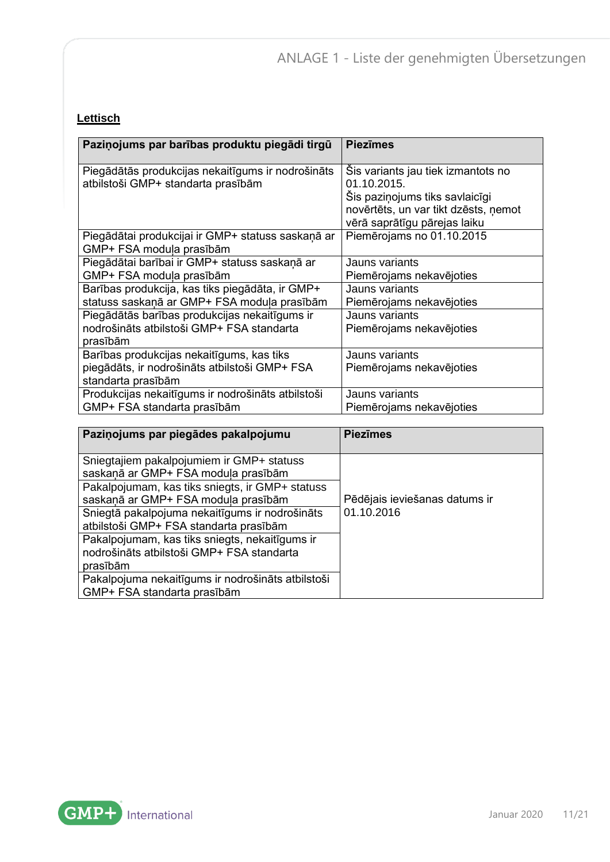#### **Lettisch**

| Paziņojums par barības produktu piegādi tirgū                                           | <b>Piezīmes</b>                                                                                                             |
|-----------------------------------------------------------------------------------------|-----------------------------------------------------------------------------------------------------------------------------|
| Piegādātās produkcijas nekaitīgums ir nodrošināts<br>atbilstoši GMP+ standarta prasībām | Šis variants jau tiek izmantots no<br>01.10.2015.<br>Šis paziņojums tiks savlaicīgi<br>novērtēts, un var tikt dzēsts, ņemot |
|                                                                                         | vērā saprātīgu pārejas laiku                                                                                                |
| Piegādātai produkcijai ir GMP+ statuss saskaņā ar<br>GMP+ FSA moduļa prasībām           | Piemērojams no 01.10.2015                                                                                                   |
| Piegādātai barībai ir GMP+ statuss saskaņā ar                                           | Jauns variants                                                                                                              |
| GMP+ FSA moduļa prasībām                                                                | Piemērojams nekavējoties                                                                                                    |
| Barības produkcija, kas tiks piegādāta, ir GMP+                                         | Jauns variants                                                                                                              |
| statuss saskaņā ar GMP+ FSA moduļa prasībām                                             | Piemērojams nekavējoties                                                                                                    |
| Piegādātās barības produkcijas nekaitīgums ir                                           | Jauns variants                                                                                                              |
| nodrošināts atbilstoši GMP+ FSA standarta<br>prasībām                                   | Piemērojams nekavējoties                                                                                                    |
| Barības produkcijas nekaitīgums, kas tiks                                               | Jauns variants                                                                                                              |
| piegādāts, ir nodrošināts atbilstoši GMP+ FSA<br>standarta prasībām                     | Piemērojams nekavējoties                                                                                                    |
| Produkcijas nekaitīgums ir nodrošināts atbilstoši                                       | Jauns variants                                                                                                              |
| GMP+ FSA standarta prasībām                                                             | Piemērojams nekavējoties                                                                                                    |

| Paziņojums par piegādes pakalpojumu               | <b>Piezīmes</b>               |
|---------------------------------------------------|-------------------------------|
|                                                   |                               |
| Sniegtajiem pakalpojumiem ir GMP+ statuss         |                               |
| saskaņā ar GMP+ FSA moduļa prasībām               |                               |
| Pakalpojumam, kas tiks sniegts, ir GMP+ statuss   |                               |
| saskaņā ar GMP+ FSA moduļa prasībām               | Pēdējais ieviešanas datums ir |
| Sniegtā pakalpojuma nekaitīgums ir nodrošināts    | 01.10.2016                    |
| atbilstoši GMP+ FSA standarta prasībām            |                               |
| Pakalpojumam, kas tiks sniegts, nekaitīgums ir    |                               |
| nodrošināts atbilstoši GMP+ FSA standarta         |                               |
| prasībām                                          |                               |
| Pakalpojuma nekaitīgums ir nodrošināts atbilstoši |                               |
| GMP+ FSA standarta prasībām                       |                               |

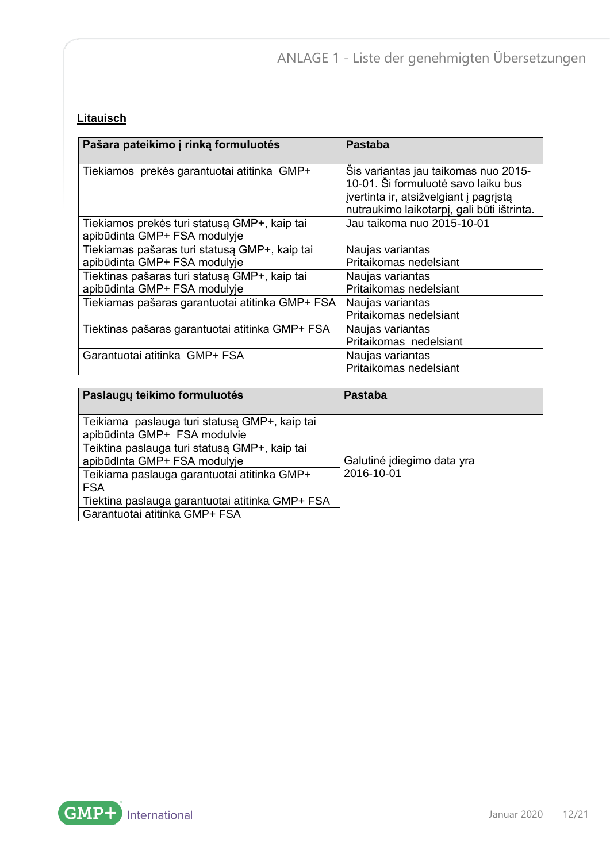## **Litauisch**

| Pašara pateikimo į rinką formuluotės                                          | Pastaba                                                                                                                                                             |
|-------------------------------------------------------------------------------|---------------------------------------------------------------------------------------------------------------------------------------------------------------------|
| Tiekiamos prekės garantuotai atitinka GMP+                                    | Sis variantas jau taikomas nuo 2015-<br>10-01. Ši formuluotė savo laiku bus<br>jvertinta ir, atsižvelgiant į pagrįstą<br>nutraukimo laikotarpį, gali būti ištrinta. |
| Tiekiamos prekės turi statusą GMP+, kaip tai<br>apibūdinta GMP+ FSA modulyje  | Jau taikoma nuo 2015-10-01                                                                                                                                          |
| Tiekiamas pašaras turi statusą GMP+, kaip tai<br>apibūdinta GMP+ FSA modulyje | Naujas variantas<br>Pritaikomas nedelsiant                                                                                                                          |
| Tiektinas pašaras turi statusą GMP+, kaip tai<br>apibūdinta GMP+ FSA modulyje | Naujas variantas<br>Pritaikomas nedelsiant                                                                                                                          |
| Tiekiamas pašaras garantuotai atitinka GMP+ FSA                               | Naujas variantas<br>Pritaikomas nedelsiant                                                                                                                          |
| Tiektinas pašaras garantuotai atitinka GMP+ FSA                               | Naujas variantas<br>Pritaikomas nedelsiant                                                                                                                          |
| Garantuotai atitinka GMP+ FSA                                                 | Naujas variantas<br>Pritaikomas nedelsiant                                                                                                                          |

| Paslaugų teikimo formuluotės                                                  | <b>Pastaba</b>             |
|-------------------------------------------------------------------------------|----------------------------|
| Teikiama paslauga turi statusą GMP+, kaip tai<br>apibūdinta GMP+ FSA modulvie |                            |
| Teiktina paslauga turi statusa GMP+, kaip tai<br>apibūdinta GMP+ FSA modulyje | Galutiné jdiegimo data yra |
| Teikiama paslauga garantuotai atitinka GMP+                                   | 2016-10-01                 |
| <b>FSA</b>                                                                    |                            |
| Tiektina paslauga garantuotai atitinka GMP+ FSA                               |                            |
| Garantuotai atitinka GMP+ FSA                                                 |                            |

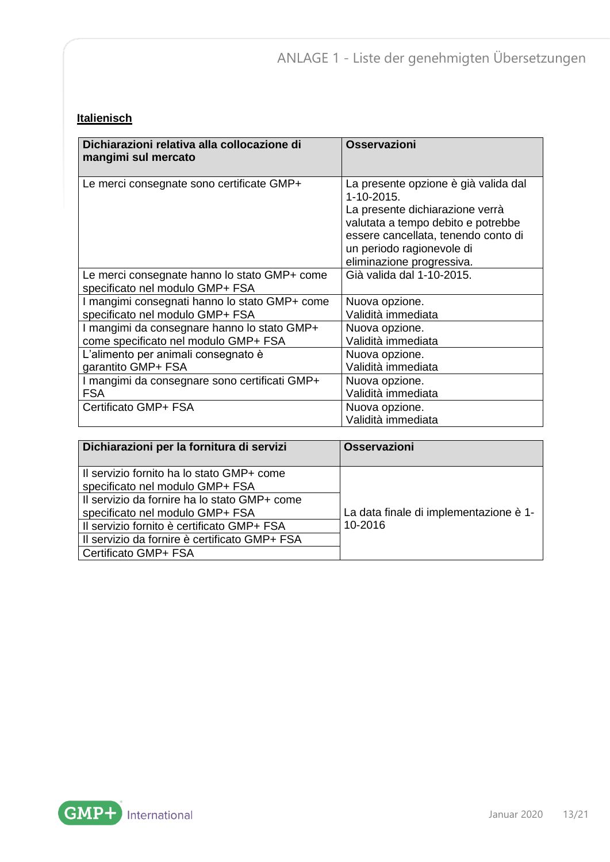#### **Italienisch**

| Dichiarazioni relativa alla collocazione di<br>mangimi sul mercato              | Osservazioni                                                                                                                                                                                                                      |
|---------------------------------------------------------------------------------|-----------------------------------------------------------------------------------------------------------------------------------------------------------------------------------------------------------------------------------|
| Le merci consegnate sono certificate GMP+                                       | La presente opzione è già valida dal<br>$1 - 10 - 2015$<br>La presente dichiarazione verrà<br>valutata a tempo debito e potrebbe<br>essere cancellata, tenendo conto di<br>un periodo ragionevole di<br>eliminazione progressiva. |
| Le merci consegnate hanno lo stato GMP+ come<br>specificato nel modulo GMP+ FSA | Già valida dal 1-10-2015.                                                                                                                                                                                                         |
| I mangimi consegnati hanno lo stato GMP+ come                                   | Nuova opzione.                                                                                                                                                                                                                    |
| specificato nel modulo GMP+ FSA                                                 | Validità immediata                                                                                                                                                                                                                |
| I mangimi da consegnare hanno lo stato GMP+                                     | Nuova opzione.                                                                                                                                                                                                                    |
| come specificato nel modulo GMP+ FSA                                            | Validità immediata                                                                                                                                                                                                                |
| L'alimento per animali consegnato è                                             | Nuova opzione.                                                                                                                                                                                                                    |
| garantito GMP+ FSA                                                              | Validità immediata                                                                                                                                                                                                                |
| I mangimi da consegnare sono certificati GMP+                                   | Nuova opzione.                                                                                                                                                                                                                    |
| <b>FSA</b>                                                                      | Validità immediata                                                                                                                                                                                                                |
| Certificato GMP+ FSA                                                            | Nuova opzione.<br>Validità immediata                                                                                                                                                                                              |

| Dichiarazioni per la fornitura di servizi                                       | <b>Osservazioni</b>                    |
|---------------------------------------------------------------------------------|----------------------------------------|
| Il servizio fornito ha lo stato GMP+ come<br>specificato nel modulo GMP+ FSA    |                                        |
| Il servizio da fornire ha lo stato GMP+ come<br>specificato nel modulo GMP+ FSA | La data finale di implementazione è 1- |
| Il servizio fornito è certificato GMP+ FSA                                      | 10-2016                                |
| Il servizio da fornire è certificato GMP+ FSA                                   |                                        |
| Certificato GMP+ FSA                                                            |                                        |

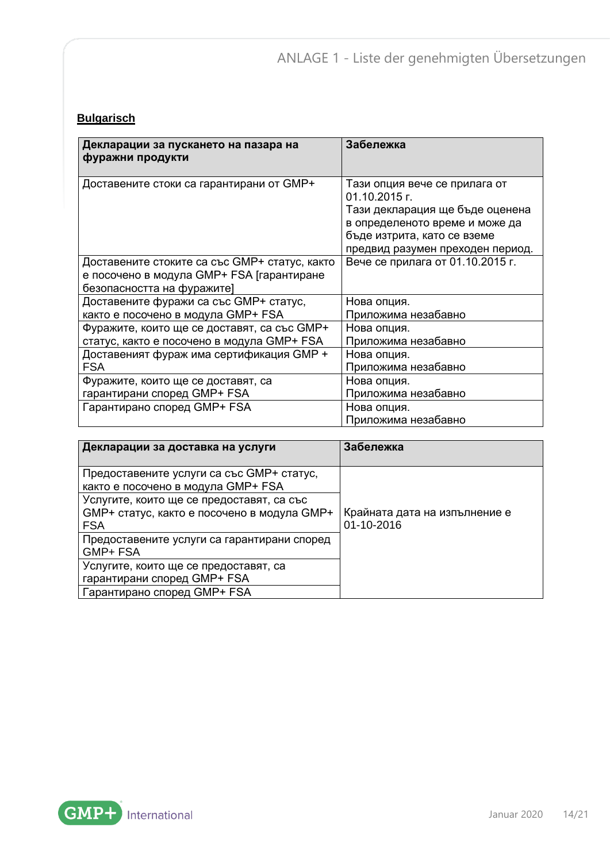#### **Bulgarisch**

| Декларации за пускането на пазара на<br>фуражни продукти                                                                 | Забележка                                                                                                                                                                              |
|--------------------------------------------------------------------------------------------------------------------------|----------------------------------------------------------------------------------------------------------------------------------------------------------------------------------------|
| Доставените стоки са гарантирани от GMP+                                                                                 | Тази опция вече се прилага от<br>01.10.2015 г.<br>Тази декларация ще бъде оценена<br>в определеното време и може да<br>бъде изтрита, като се вземе<br>предвид разумен преходен период. |
| Доставените стоките са със GMP+ статус, както<br>е посочено в модула GMP+ FSA [гарантиране<br>безопасността на фуражите] | Вече се прилага от 01.10.2015 г.                                                                                                                                                       |
| Доставените фуражи са със GMP+ статус,                                                                                   | Нова опция.                                                                                                                                                                            |
| както е посочено в модула GMP+ FSA                                                                                       | Приложима незабавно                                                                                                                                                                    |
| Фуражите, които ще се доставят, са със GMP+                                                                              | Нова опция.                                                                                                                                                                            |
| статус, както е посочено в модула GMP+ FSA                                                                               | Приложима незабавно                                                                                                                                                                    |
| Доставеният фураж има сертификация GMP +                                                                                 | Нова опция.                                                                                                                                                                            |
| <b>FSA</b>                                                                                                               | Приложима незабавно                                                                                                                                                                    |
| Фуражите, които ще се доставят, са                                                                                       | Нова опция.                                                                                                                                                                            |
| гарантирани според GMP+ FSA                                                                                              | Приложима незабавно                                                                                                                                                                    |
| Гарантирано според GMP+ FSA                                                                                              | Нова опция.<br>Приложима незабавно                                                                                                                                                     |

| Декларации за доставка на услуги                                                                       | Забележка                                   |
|--------------------------------------------------------------------------------------------------------|---------------------------------------------|
| Предоставените услуги са със GMP+ статус,<br>както е посочено в модула GMP+ FSA                        |                                             |
| Услугите, които ще се предоставят, са със<br>GMP+ статус, както е посочено в модула GMP+<br><b>FSA</b> | Крайната дата на изпълнение е<br>01-10-2016 |
| Предоставените услуги са гарантирани според<br>GMP+ FSA                                                |                                             |
| Услугите, които ще се предоставят, са<br>гарантирани според GMP+ FSA                                   |                                             |
| Гарантирано според GMP+ FSA                                                                            |                                             |

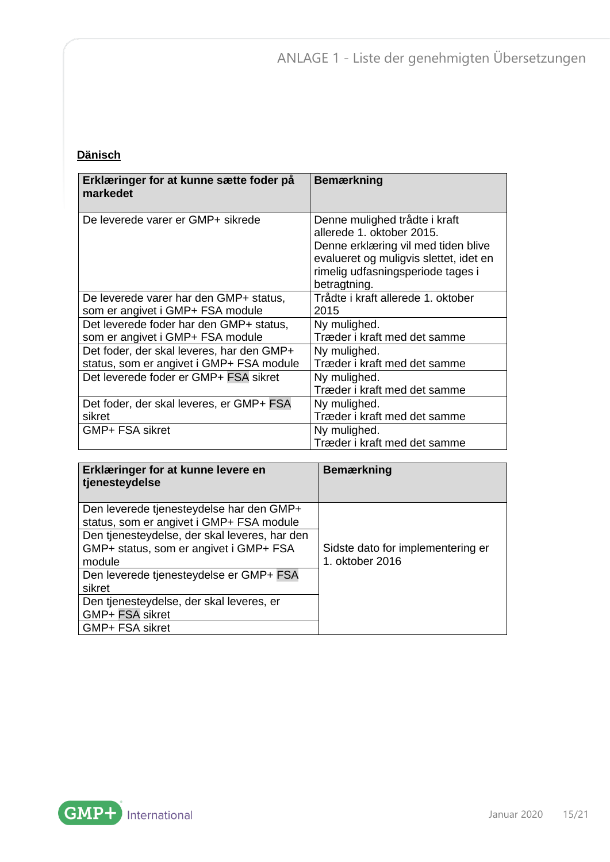## **Dänisch**

| Erklæringer for at kunne sætte foder på<br>markedet | <b>Bemærkning</b>                                                                                                                           |
|-----------------------------------------------------|---------------------------------------------------------------------------------------------------------------------------------------------|
| De leverede varer er GMP+ sikrede                   | Denne mulighed trådte i kraft<br>allerede 1. oktober 2015.<br>Denne erklæring vil med tiden blive<br>evalueret og muligvis slettet, idet en |
|                                                     | rimelig udfasningsperiode tages i<br>betragtning.                                                                                           |
| De leverede varer har den GMP+ status,              | Trådte i kraft allerede 1. oktober                                                                                                          |
| som er angivet i GMP+ FSA module                    | 2015                                                                                                                                        |
| Det leverede foder har den GMP+ status,             | Ny mulighed.                                                                                                                                |
| som er angivet i GMP+ FSA module                    | Træder i kraft med det samme                                                                                                                |
| Det foder, der skal leveres, har den GMP+           | Ny mulighed.                                                                                                                                |
| status, som er angivet i GMP+ FSA module            | Træder i kraft med det samme                                                                                                                |
| Det leverede foder er GMP+ FSA sikret               | Ny mulighed.                                                                                                                                |
|                                                     | Træder i kraft med det samme                                                                                                                |
| Det foder, der skal leveres, er GMP+ FSA            | Ny mulighed.                                                                                                                                |
| sikret                                              | Træder i kraft med det samme                                                                                                                |
| GMP+ FSA sikret                                     | Ny mulighed.                                                                                                                                |
|                                                     | Træder i kraft med det samme                                                                                                                |

| Erklæringer for at kunne levere en<br>tjenesteydelse                                              | <b>Bemærkning</b>                                    |
|---------------------------------------------------------------------------------------------------|------------------------------------------------------|
| Den leverede tjenesteydelse har den GMP+<br>status, som er angivet i GMP+ FSA module              |                                                      |
| Den tjenesteydelse, der skal leveres, har den<br>GMP+ status, som er angivet i GMP+ FSA<br>module | Sidste dato for implementering er<br>1. oktober 2016 |
| Den leverede tjenesteydelse er GMP+ FSA<br>sikret                                                 |                                                      |
| Den tjenesteydelse, der skal leveres, er<br>GMP+ FSA sikret                                       |                                                      |
| GMP+ FSA sikret                                                                                   |                                                      |

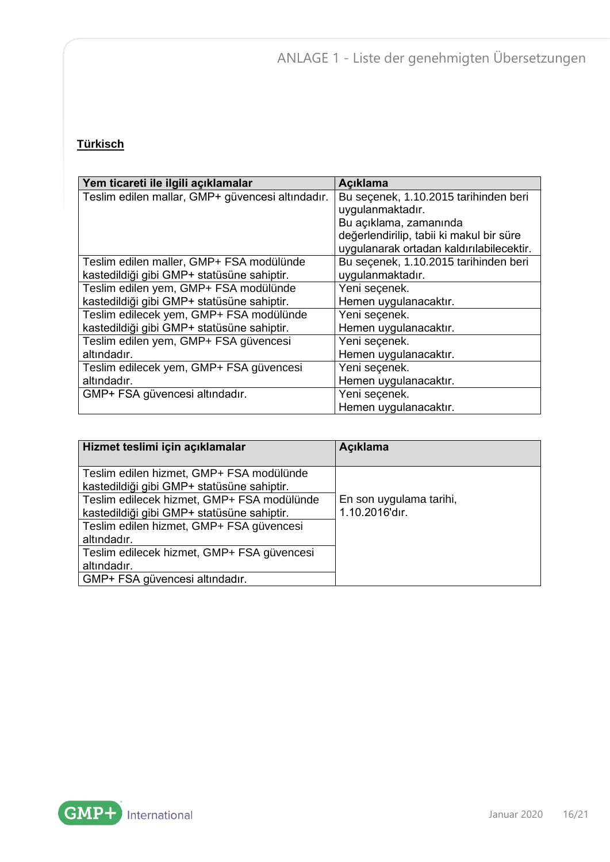## **Türkisch**

| Yem ticareti ile ilgili açıklamalar              | Açıklama                                 |
|--------------------------------------------------|------------------------------------------|
| Teslim edilen mallar, GMP+ güvencesi altındadır. | Bu seçenek, 1.10.2015 tarihinden beri    |
|                                                  | uygulanmaktadır.                         |
|                                                  | Bu açıklama, zamanında                   |
|                                                  | değerlendirilip, tabii ki makul bir süre |
|                                                  | uygulanarak ortadan kaldırılabilecektir. |
| Teslim edilen maller, GMP+ FSA modülünde         | Bu seçenek, 1.10.2015 tarihinden beri    |
| kastedildiği gibi GMP+ statüsüne sahiptir.       | uygulanmaktadır.                         |
| Teslim edilen yem, GMP+ FSA modülünde            | Yeni seçenek.                            |
| kastedildiği gibi GMP+ statüsüne sahiptir.       | Hemen uygulanacaktır.                    |
| Teslim edilecek yem, GMP+ FSA modülünde          | Yeni seçenek.                            |
| kastedildiği gibi GMP+ statüsüne sahiptir.       | Hemen uygulanacaktır.                    |
| Teslim edilen yem, GMP+ FSA güvencesi            | Yeni seçenek.                            |
| altındadır.                                      | Hemen uygulanacaktır.                    |
| Teslim edilecek yem, GMP+ FSA güvencesi          | Yeni seçenek.                            |
| altındadır.                                      | Hemen uygulanacaktır.                    |
| GMP+ FSA güvencesi altındadır.                   | Yeni seçenek.                            |
|                                                  | Hemen uygulanacaktır.                    |

| Hizmet teslimi için açıklamalar                                                          | <b>Acıklama</b>                           |
|------------------------------------------------------------------------------------------|-------------------------------------------|
| Teslim edilen hizmet, GMP+ FSA modülünde<br>kastedildiği gibi GMP+ statüsüne sahiptir.   |                                           |
| Teslim edilecek hizmet, GMP+ FSA modülünde<br>kastedildiği gibi GMP+ statüsüne sahiptir. | En son uygulama tarihi,<br>1.10.2016'dır. |
| Teslim edilen hizmet, GMP+ FSA güvencesi<br>altındadır.                                  |                                           |
| Teslim edilecek hizmet, GMP+ FSA güvencesi                                               |                                           |
| altındadır.                                                                              |                                           |
| GMP+ FSA güvencesi altındadır.                                                           |                                           |

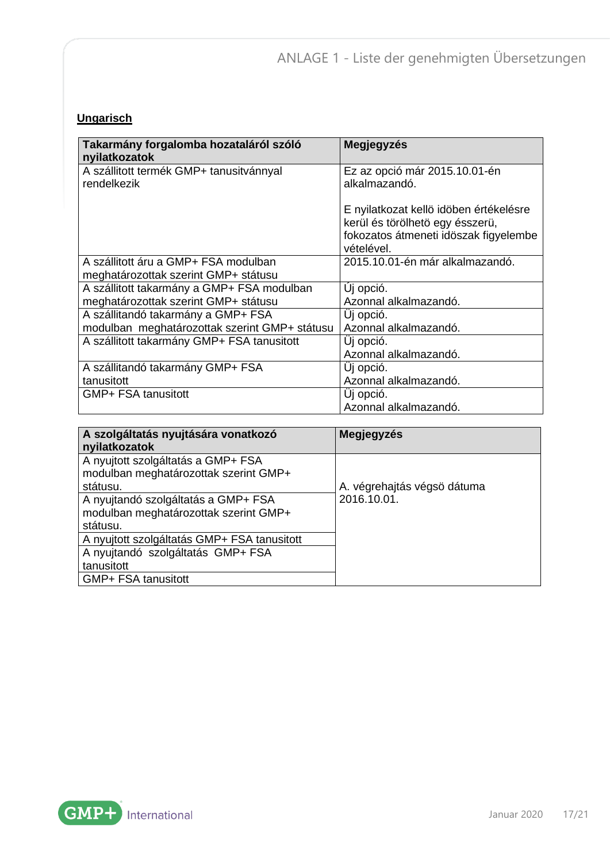## **Ungarisch**

| Takarmány forgalomba hozataláról szóló<br>nyilatkozatok                             | <b>Megjegyzés</b>                                                                                                                |
|-------------------------------------------------------------------------------------|----------------------------------------------------------------------------------------------------------------------------------|
| A szállitott termék GMP+ tanusitvánnyal<br>rendelkezik                              | Ez az opció már 2015.10.01-én<br>alkalmazandó.                                                                                   |
|                                                                                     | E nyilatkozat kellö idöben értékelésre<br>kerül és törölhető egy ésszerü,<br>fokozatos átmeneti idöszak figyelembe<br>vételével. |
| A szállitott áru a GMP+ FSA modulban<br>meghatározottak szerint GMP+ státusu        | 2015.10.01-én már alkalmazandó.                                                                                                  |
| A szállitott takarmány a GMP+ FSA modulban<br>meghatározottak szerint GMP+ státusu  | Uj opció.<br>Azonnal alkalmazandó.                                                                                               |
| A szállitandó takarmány a GMP+ FSA<br>modulban meghatározottak szerint GMP+ státusu | Uj opció.<br>Azonnal alkalmazandó.                                                                                               |
| A szállitott takarmány GMP+ FSA tanusitott                                          | Uj opció.<br>Azonnal alkalmazandó.                                                                                               |
| A szállitandó takarmány GMP+ FSA<br>tanusitott                                      | Uj opció.<br>Azonnal alkalmazandó.                                                                                               |
| GMP+ FSA tanusitott                                                                 | Uj opció.<br>Azonnal alkalmazandó.                                                                                               |

| A szolgáltatás nyujtására vonatkozó<br>nyilatkozatok                                     | Megjegyzés                  |
|------------------------------------------------------------------------------------------|-----------------------------|
| A nyujtott szolgáltatás a GMP+ FSA<br>modulban meghatározottak szerint GMP+<br>státusu.  | A. végrehajtás végső dátuma |
| A nyujtandó szolgáltatás a GMP+ FSA<br>modulban meghatározottak szerint GMP+<br>státusu. | 2016.10.01.                 |
| A nyujtott szolgáltatás GMP+ FSA tanusitott                                              |                             |
| A nyujtandó szolgáltatás GMP+ FSA                                                        |                             |
| tanusitott                                                                               |                             |
| GMP+ FSA tanusitott                                                                      |                             |

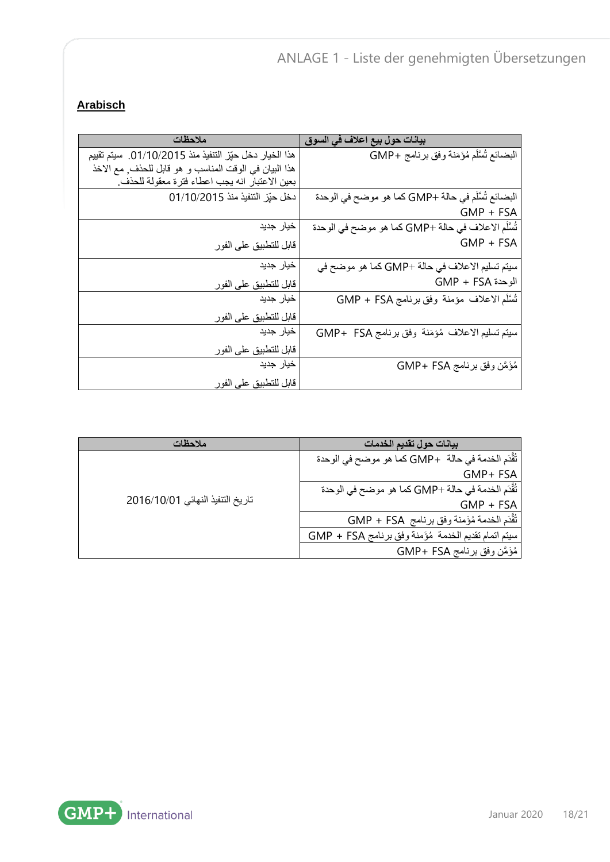#### **Arabisch**

| ملاحظات                                                | بيانات حول بيع اعلاف في السوق                       |
|--------------------------------------------------------|-----------------------------------------------------|
| هذا الخيار دخل حيّز التنفيذ منذ 01/10/2015. سيتم تقييم | البضائع تُسَلَّم مُؤَمَنة وفق برنامج +GMP           |
| هذا البيان في الوقت المناسب و هو قابل للحذف, مع الاخذ  |                                                     |
| بعين الاعتبار انه يجب اعطاء فترة معقولة للحذف.         |                                                     |
| دخل حيّز التنفيذ منذ 01/10/2015                        | البضائع تُسَلَّم في حالة +GMP كما هو موضح في الوحدة |
|                                                        | $GMP + FSA$                                         |
| خيار جديد                                              | تُسَلَّم الاعلاف في حالة +GMP كما هو موضح في الوحدة |
| قابل للتطبيق على الفور                                 | $GMP + FSA$                                         |
| خيار جديد                                              | سيتم تسليم الاعلاف في حالة +GMP كما هو موضح في      |
| قابل للتطبيق على الفور                                 | الوحدة GMP + FSA                                    |
| خيار جديد                                              | تُسَلَّم الاعلاف مؤمنة وفق برنامج GMP + FSA         |
| قابل للتطبيق على الفور                                 |                                                     |
| خيار جديد                                              | سيتم تسليم الاعلاف مُؤمَنة وفق برنامج GMP+ FSA      |
| قابل للتطبيق على الفور                                 |                                                     |
| خيار جديد                                              | مُؤَمَّن وفق برنامج GMP+ FSA                        |
| قابل للتطبيق على الفور                                 |                                                     |

| ملاحظات                          | بيانات حول تقديم الخدمات                             |
|----------------------------------|------------------------------------------------------|
| تاريخ التنفيذ النهائي 2016/10/01 | ثُقَّدَم الخدمة في حالة   +GMP كما هو موضح في الوحدة |
|                                  | GMP+ FSA                                             |
|                                  | تُقَّدَم الخدمة في حالة +GMP كما هو موضح في الوحدة   |
|                                  | $GMP + FSA$                                          |
|                                  | تُقَّدَم الخدمة مُؤَمنة وفق برنامج GMP + FSA         |
|                                  | سيتم اتمام تقديم الخدمة مُؤَمنة وفق برنامج GMP + FSA |
|                                  | مُؤَمَّن وفق برنامج GMP+ FSA                         |



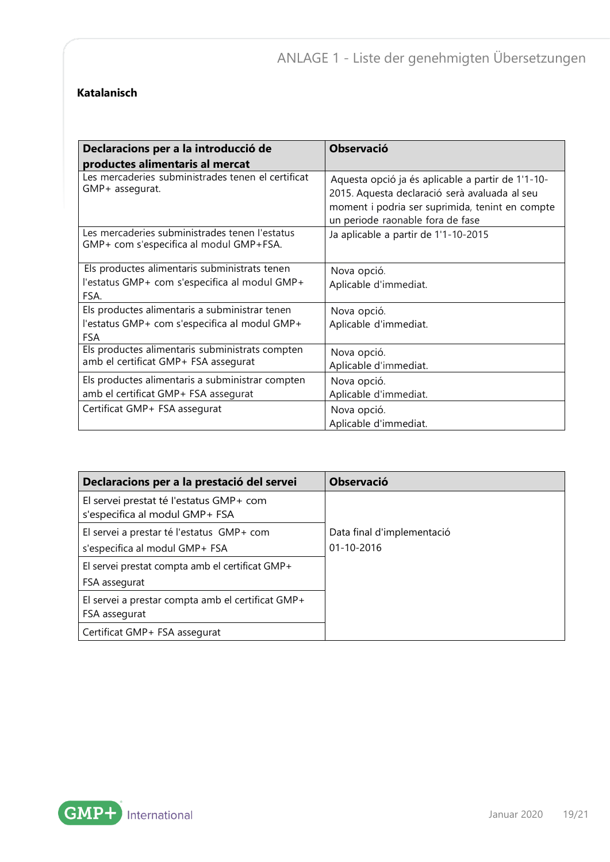#### **Katalanisch**

| Declaracions per a la introducció de                                                                          | <b>Observació</b>                                                                                                                                                                         |
|---------------------------------------------------------------------------------------------------------------|-------------------------------------------------------------------------------------------------------------------------------------------------------------------------------------------|
| productes alimentaris al mercat                                                                               |                                                                                                                                                                                           |
| Les mercaderies subministrades tenen el certificat<br>GMP+ assegurat.                                         | Aquesta opció ja és aplicable a partir de 1'1-10-<br>2015. Aquesta declaració serà avaluada al seu<br>moment i podria ser suprimida, tenint en compte<br>un periode raonable fora de fase |
| Les mercaderies subministrades tenen l'estatus<br>GMP+ com s'especifica al modul GMP+FSA.                     | Ja aplicable a partir de 1'1-10-2015                                                                                                                                                      |
| Els productes alimentaris subministrats tenen<br>l'estatus GMP+ com s'especifica al modul GMP+<br>FSA.        | Nova opció.<br>Aplicable d'immediat.                                                                                                                                                      |
| Els productes alimentaris a subministrar tenen<br>l'estatus GMP+ com s'especifica al modul GMP+<br><b>FSA</b> | Nova opció.<br>Aplicable d'immediat.                                                                                                                                                      |
| Els productes alimentaris subministrats compten<br>amb el certificat GMP+ FSA assegurat                       | Nova opció.<br>Aplicable d'immediat.                                                                                                                                                      |
| Els productes alimentaris a subministrar compten<br>amb el certificat GMP+ FSA assegurat                      | Nova opció.<br>Aplicable d'immediat.                                                                                                                                                      |
| Certificat GMP+ FSA assegurat                                                                                 | Nova opció.<br>Aplicable d'immediat.                                                                                                                                                      |

| Declaracions per a la prestació del servei                                | <b>Observació</b>          |
|---------------------------------------------------------------------------|----------------------------|
| El servei prestat té l'estatus GMP+ com<br>s'especifica al modul GMP+ FSA |                            |
| El servei a prestar té l'estatus GMP+ com                                 | Data final d'implementació |
| s'especifica al modul GMP+ FSA                                            | $01 - 10 - 2016$           |
| El servei prestat compta amb el certificat GMP+                           |                            |
| FSA assegurat                                                             |                            |
| El servei a prestar compta amb el certificat GMP+                         |                            |
| FSA assegurat                                                             |                            |
| Certificat GMP+ FSA assegurat                                             |                            |

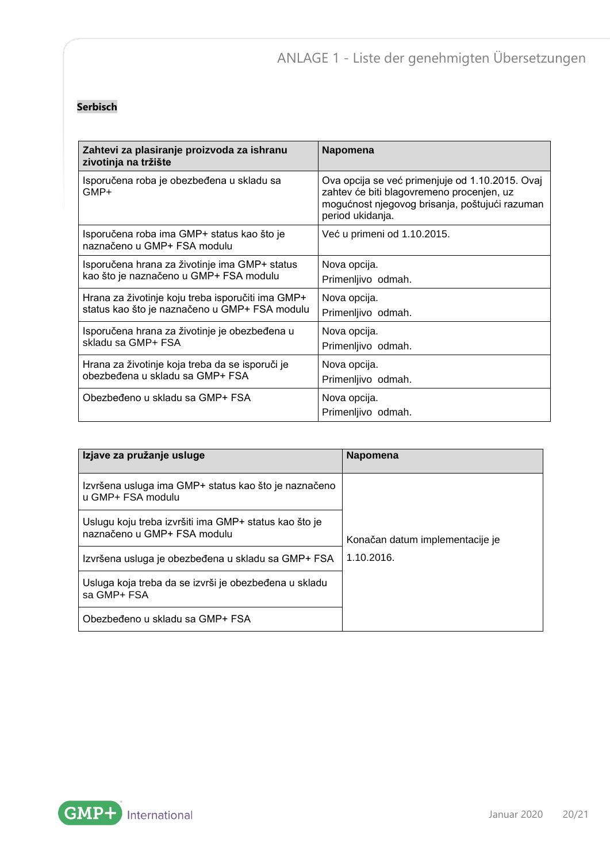#### **Serbisch**

| Zahtevi za plasiranje proizvoda za ishranu<br>zivotinja na tržište        | Napomena                                                                                                                                                           |
|---------------------------------------------------------------------------|--------------------------------------------------------------------------------------------------------------------------------------------------------------------|
| Isporučena roba je obezbeđena u skladu sa<br>GMP+                         | Ova opcija se već primenjuje od 1.10.2015. Ovaj<br>zahtev će biti blagovremeno procenjen, uz<br>mogućnost njegovog brisanja, poštujući razuman<br>period ukidanja. |
| Isporučena roba ima GMP+ status kao što je<br>naznačeno u GMP+ FSA modulu | Već u primeni od 1.10.2015.                                                                                                                                        |
| Isporučena hrana za životinje ima GMP+ status                             | Nova opcija.                                                                                                                                                       |
| kao što je naznačeno u GMP+ FSA modulu                                    | Primenljivo odmah.                                                                                                                                                 |
| Hrana za životinje koju treba isporučiti ima GMP+                         | Nova opcija.                                                                                                                                                       |
| status kao što je naznačeno u GMP+ FSA modulu                             | Primenljivo odmah.                                                                                                                                                 |
| Isporučena hrana za životinje je obezbeđena u                             | Nova opcija.                                                                                                                                                       |
| skladu sa GMP+ FSA                                                        | Primenljivo odmah.                                                                                                                                                 |
| Hrana za životinje koja treba da se isporuči je                           | Nova opcija.                                                                                                                                                       |
| obezbeđena u skladu sa GMP+ FSA                                           | Primenljivo odmah.                                                                                                                                                 |
| Obezbeđeno u skladu sa GMP+ FSA                                           | Nova opcija.<br>Primenljivo odmah.                                                                                                                                 |

| Izjave za pružanje usluge                                                            | <b>Napomena</b>                 |  |
|--------------------------------------------------------------------------------------|---------------------------------|--|
| Izvršena usluga ima GMP+ status kao što je naznačeno<br>u GMP+ FSA modulu            |                                 |  |
| Uslugu koju treba izvršiti ima GMP+ status kao što je<br>naznačeno u GMP+ FSA modulu | Konačan datum implementacije je |  |
| Izvršena usluga je obezbeđena u skladu sa GMP+ FSA                                   | 1.10.2016.                      |  |
| Usluga koja treba da se izvrši je obezbeđena u skladu<br>sa GMP+ FSA                 |                                 |  |
| Obezbeđeno u skladu sa GMP+ FSA                                                      |                                 |  |